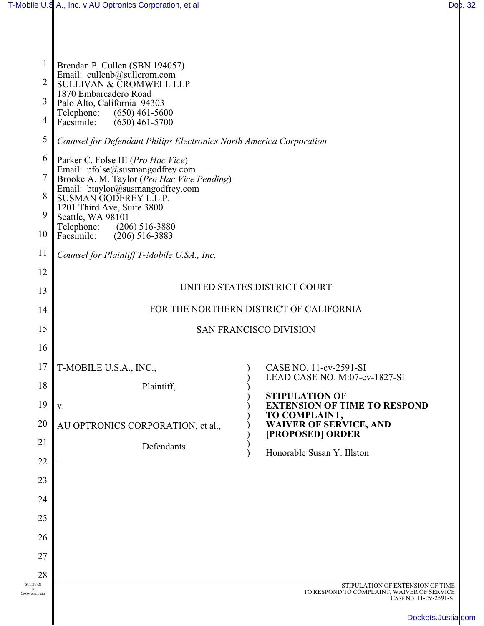| $\mathbf 1$<br>$\overline{2}$<br>3<br>$\overline{4}$ | Brendan P. Cullen (SBN 194057)<br>Email: cullenb@sullcrom.com<br><b>SULLIVAN &amp; CROMWELL LLP</b><br>1870 Embarcadero Road<br>Palo Alto, California 94303<br>$(650)$ 461-5600<br>Telephone:<br>Facsimile:<br>$(650)$ 461-5700 |                                                                      |  |
|------------------------------------------------------|---------------------------------------------------------------------------------------------------------------------------------------------------------------------------------------------------------------------------------|----------------------------------------------------------------------|--|
| 5                                                    | Counsel for Defendant Philips Electronics North America Corporation                                                                                                                                                             |                                                                      |  |
| 6                                                    | Parker C. Folse III (Pro Hac Vice)<br>Email: pfolse@susmangodfrey.com                                                                                                                                                           |                                                                      |  |
| $\overline{7}$                                       | Brooke A. M. Taylor (Pro Hac Vice Pending)<br>Email: btaylor@susmangodfrey.com                                                                                                                                                  |                                                                      |  |
| 8                                                    | SUSMAN GODFREY L.L.P.<br>1201 Third Ave, Suite 3800                                                                                                                                                                             |                                                                      |  |
| 9<br>10                                              | Seattle, WA 98101<br>$(206)$ 516-3880<br>Telephone:<br>Facsimile:<br>$(206)$ 516-3883                                                                                                                                           |                                                                      |  |
| 11                                                   | Counsel for Plaintiff T-Mobile U.SA., Inc.                                                                                                                                                                                      |                                                                      |  |
| 12                                                   |                                                                                                                                                                                                                                 |                                                                      |  |
| 13                                                   | UNITED STATES DISTRICT COURT                                                                                                                                                                                                    |                                                                      |  |
| 14                                                   | FOR THE NORTHERN DISTRICT OF CALIFORNIA                                                                                                                                                                                         |                                                                      |  |
| 15                                                   | <b>SAN FRANCISCO DIVISION</b>                                                                                                                                                                                                   |                                                                      |  |
| 16                                                   |                                                                                                                                                                                                                                 |                                                                      |  |
| 17                                                   | T-MOBILE U.S.A., INC.,                                                                                                                                                                                                          | CASE NO. 11-cv-2591-SI<br>LEAD CASE NO. M:07-cv-1827-SI              |  |
| 18                                                   | Plaintiff,                                                                                                                                                                                                                      | <b>STIPULATION OF</b>                                                |  |
| 19                                                   | V.                                                                                                                                                                                                                              | <b>EXTENSION OF TIME TO RESPOND</b><br>TO COMPLAINT,                 |  |
| 20                                                   | AU OPTRONICS CORPORATION, et al.,                                                                                                                                                                                               | <b>WAIVER OF SERVICE, AND</b><br>[PROPOSED] ORDER                    |  |
| 21                                                   | Defendants.                                                                                                                                                                                                                     | Honorable Susan Y. Illston                                           |  |
| 22                                                   |                                                                                                                                                                                                                                 |                                                                      |  |
| 23                                                   |                                                                                                                                                                                                                                 |                                                                      |  |
| 24                                                   |                                                                                                                                                                                                                                 |                                                                      |  |
| 25                                                   |                                                                                                                                                                                                                                 |                                                                      |  |
| 26                                                   |                                                                                                                                                                                                                                 |                                                                      |  |
| 27                                                   |                                                                                                                                                                                                                                 |                                                                      |  |
| 28<br><b>SULLIVAN</b><br>&                           |                                                                                                                                                                                                                                 | STIPULATION OF EXTENSION OF TIME                                     |  |
| <b>CROMWELL LLP</b>                                  |                                                                                                                                                                                                                                 | TO RESPOND TO COMPLAINT, WAIVER OF SERVICE<br>CASE NO. 11-CV-2591-SI |  |
|                                                      |                                                                                                                                                                                                                                 | Dockets.Justialc                                                     |  |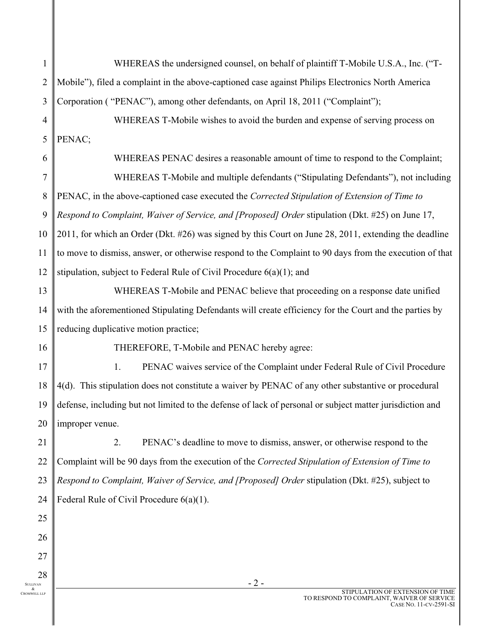| $\mathbf{1}$             | WHEREAS the undersigned counsel, on behalf of plaintiff T-Mobile U.S.A., Inc. ("T-                       |  |
|--------------------------|----------------------------------------------------------------------------------------------------------|--|
| $\overline{c}$           | Mobile"), filed a complaint in the above-captioned case against Philips Electronics North America        |  |
| 3                        | Corporation ("PENAC"), among other defendants, on April 18, 2011 ("Complaint");                          |  |
| 4                        | WHEREAS T-Mobile wishes to avoid the burden and expense of serving process on                            |  |
| 5                        | PENAC;                                                                                                   |  |
| 6                        | WHEREAS PENAC desires a reasonable amount of time to respond to the Complaint;                           |  |
| $\overline{7}$           | WHEREAS T-Mobile and multiple defendants ("Stipulating Defendants"), not including                       |  |
| 8                        | PENAC, in the above-captioned case executed the Corrected Stipulation of Extension of Time to            |  |
| 9                        | Respond to Complaint, Waiver of Service, and [Proposed] Order stipulation (Dkt. #25) on June 17,         |  |
| 10                       | 2011, for which an Order (Dkt. #26) was signed by this Court on June 28, 2011, extending the deadline    |  |
| 11                       | to move to dismiss, answer, or otherwise respond to the Complaint to 90 days from the execution of that  |  |
| 12                       | stipulation, subject to Federal Rule of Civil Procedure $6(a)(1)$ ; and                                  |  |
| 13                       | WHEREAS T-Mobile and PENAC believe that proceeding on a response date unified                            |  |
| 14                       | with the aforementioned Stipulating Defendants will create efficiency for the Court and the parties by   |  |
| 15                       | reducing duplicative motion practice;                                                                    |  |
| 16                       | THEREFORE, T-Mobile and PENAC hereby agree:                                                              |  |
| 17                       | 1.<br>PENAC waives service of the Complaint under Federal Rule of Civil Procedure                        |  |
| 18                       | 4(d). This stipulation does not constitute a waiver by PENAC of any other substantive or procedural      |  |
| 19                       | defense, including but not limited to the defense of lack of personal or subject matter jurisdiction and |  |
| 20                       | improper venue.                                                                                          |  |
| 21                       | 2.<br>PENAC's deadline to move to dismiss, answer, or otherwise respond to the                           |  |
| 22                       | Complaint will be 90 days from the execution of the Corrected Stipulation of Extension of Time to        |  |
| 23                       | Respond to Complaint, Waiver of Service, and [Proposed] Order stipulation (Dkt. #25), subject to         |  |
| 24                       | Federal Rule of Civil Procedure $6(a)(1)$ .                                                              |  |
| 25                       |                                                                                                          |  |
| 26                       |                                                                                                          |  |
| 27                       |                                                                                                          |  |
| 28<br><b>SULLIVAN</b>    | $-2-$                                                                                                    |  |
| &<br><b>CROMWELL LLP</b> | STIPULATION OF EXTENSION OF TIME<br>TO RESPOND TO COMPLAINT WAIVER OF SERVICE                            |  |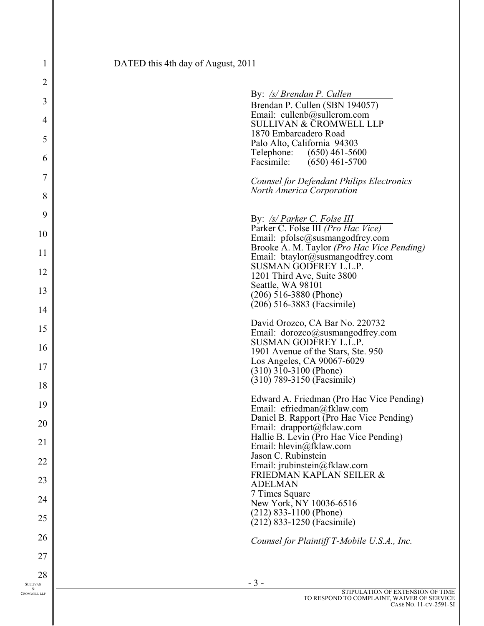| 1                        | DATED this 4th day of August, 2011                                            |
|--------------------------|-------------------------------------------------------------------------------|
| $\overline{2}$           |                                                                               |
| 3                        | By: /s/ Brendan P. Cullen<br>Brendan P. Cullen (SBN 194057)                   |
| 4                        | Email: cullenb@sullcrom.com<br><b>SULLIVAN &amp; CROMWELL LLP</b>             |
| 5                        | 1870 Embarcadero Road                                                         |
| 6                        | Palo Alto, California 94303<br>Telephone:<br>$(650)$ 461-5600                 |
| 7                        | Facsimile:<br>$(650)$ 461-5700                                                |
| 8                        | Counsel for Defendant Philips Electronics<br><b>North America Corporation</b> |
| 9                        |                                                                               |
| 10                       | By: /s/ Parker C. Folse III<br>Parker C. Folse III (Pro Hac Vice)             |
| 11                       | Email: pfolse@susmangodfrey.com<br>Brooke A. M. Taylor (Pro Hac Vice Pending) |
|                          | Email: btaylor@susmangodfrey.com<br><b>SUSMAN GODFREY L.L.P.</b>              |
| 12                       | 1201 Third Ave, Suite 3800<br>Seattle, WA 98101                               |
| 13                       | $(206)$ 516-3880 (Phone)<br>(206) 516-3883 (Facsimile)                        |
| 14                       | David Orozco, CA Bar No. 220732                                               |
| 15                       | Email: dorozco@susmangodfrey.com                                              |
| 16                       | <b>SUSMAN GODFREY L.L.P.</b><br>1901 Avenue of the Stars, Ste. 950            |
| 17                       | Los Angeles, CA 90067-6029<br>$(310)$ 310-3100 (Phone)                        |
| 18                       | (310) 789-3150 (Facsimile)                                                    |
| 19                       | Edward A. Friedman (Pro Hac Vice Pending)<br>Email: efriedman@fklaw.com       |
| 20                       | Daniel B. Rapport (Pro Hac Vice Pending)<br>Email: drapport@fklaw.com         |
| 21                       | Hallie B. Levin (Pro Hac Vice Pending)<br>Email: hlevin@fklaw.com             |
| 22                       | Jason C. Rubinstein<br>Email: jrubinstein@fklaw.com                           |
| 23                       | FRIEDMAN KAPLAN SEILER &                                                      |
| 24                       | <b>ADELMAN</b><br>7 Times Square                                              |
|                          | New York, NY 10036-6516<br>$(212)$ 833-1100 (Phone)                           |
| 25                       | (212) 833-1250 (Facsimile)                                                    |
| 26                       | Counsel for Plaintiff T-Mobile U.S.A., Inc.                                   |
| 27                       |                                                                               |
| 28<br><b>SULLIVAN</b>    | $-3-$                                                                         |
| &<br><b>CROMWELL LLP</b> | STIPULATION OF EXTENSION OF<br>TO RESPOND TO COMPLAINT, WAIVER OF SER         |